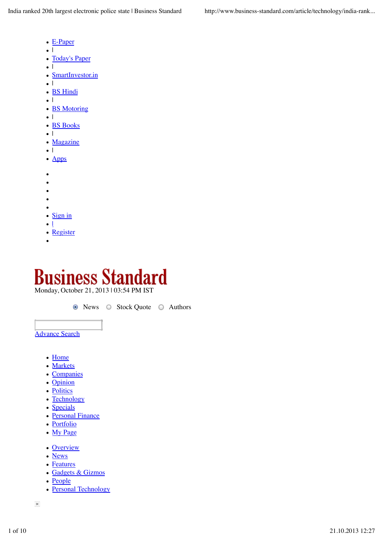- E-Paper
- $\bullet$ |
- Today's Paper
- $\bullet$ |
- SmartInvestor.in  $\bullet$  1
- |
- **BS Hindi**  $\bullet$ |
- **BS** Motoring
- $\bullet$ |
- BS Books
- $\bullet$ |
- Magazine
- $\bullet$ |
- Apps
- 
- $\epsilon$
- $\bullet$
- $\bullet$
- $\bullet$
- Sign in
- |  $\bullet$
- Register
- 

## tandard **Business St**

Monday, October 21, 2013 | 03:54 PM IST

● News ○ Stock Quote ○ Authors

Advance Search

- Home
- Markets
- Companies
- Opinion
- Politics
- Technology
- Specials
- Personal Finance
- Portfolio
- My Page
- Overview
- News
- Features
- Gadgets & Gizmos
- People
- Personal Technology

 $\times$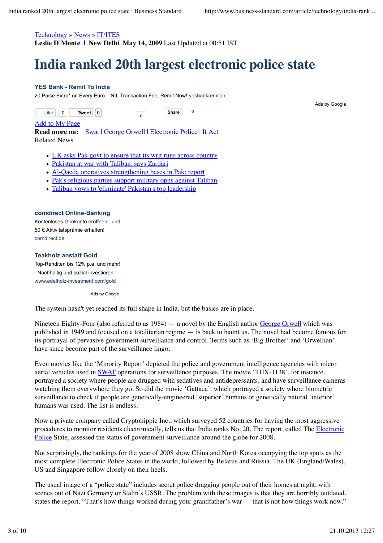#### Technology » News » IT/ITES

**Leslie D`Monte | New Delhi May 14, 2009** Last Updated at 00:51 IST

# **India ranked 20th largest electronic police state**

#### **YES Bank - Remit To India**

20 Paise Extra\* on Every Euro. NIL Transaction Fee. Remit Now! yesbankremit.in

 $\overline{a}$ 

**Tweet**  $|0|$ Like  $\vert \langle 0 \vert \vert$ 

**Share Share 0**

Ads by Google

#### Add to My Page

**Read more on:** Swat | George Orwell | Electronic Police | It Act Related News

- UK asks Pak govt to ensure that its writ runs across country
- Pakistan at war with Taliban, says Zardari
- Al-Qaeda operatives strengthening bases in Pak: report
- Pak's religious parties support military opns against Taliban
- Taliban vows to 'eliminate' Pakistan's top leadership

#### **comdirect Online-Banking**

Kostenloses Girokonto eröffnen und 50 € Aktivitätsprämie erhalten! comdirect.de

#### **Teakholz anstatt Gold**

Top-Renditen bis 12% p.a. und mehr! Nachhaltig und sozial investieren. www.edelholz-investment.com/gold

Ads by Google

The system hasn't yet reached its full shape in India, but the basics are in place.

Nineteen Eighty-Four (also referred to as  $1984$ )  $-$  a novel by the English author George Orwell which was published in 1949 and focused on a totalitarian regime — is back to haunt us. The novel had become famous for its portrayal of pervasive government surveillance and control. Terms such as 'Big Brother' and 'Orwellian' have since become part of the surveillance lingo.

Even movies like the 'Minority Report' depicted the police and government intelligence agencies with micro aerial vehicles used in SWAT operations for surveillance purposes. The movie 'THX-1138', for instance, portrayed a society where people are drugged with sedatives and antidepressants, and have surveillance cameras watching them everywhere they go. So did the movie 'Gattaca'; which portrayed a society where biometric surveillance to check if people are genetically-engineered 'superior' humans or genetically natural 'inferior' humans was used. The list is endless.

Now a private company called Cryptohippie Inc., which surveyed 52 countries for having the most aggressive procedures to monitor residents electronically, tells us that India ranks No. 20. The report, called The Electronic Police State, assessed the status of government surveillance around the globe for 2008.

Not surprisingly, the rankings for the year of 2008 show China and North Korea occupying the top spots as the most complete Electronic Police States in the world, followed by Belarus and Russia. The UK (England/Wales), US and Singapore follow closely on their heels.

The usual image of a "police state" includes secret police dragging people out of their homes at night, with scenes out of Nazi Germany or Stalin's USSR. The problem with these images is that they are horribly outdated, states the report. "That's how things worked during your grandfather's war — that is not how things work now."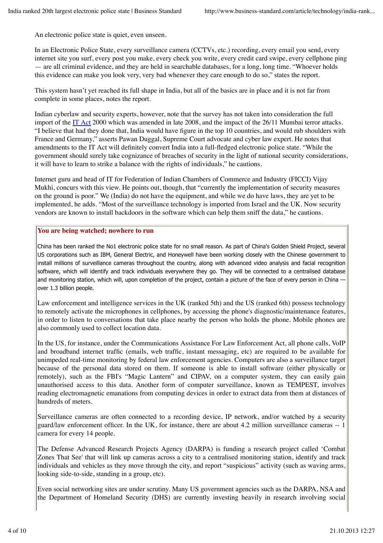An electronic police state is quiet, even unseen.

In an Electronic Police State, every surveillance camera (CCTVs, etc.) recording, every email you send, every internet site you surf, every post you make, every check you write, every credit card swipe, every cellphone ping — are all criminal evidence, and they are held in searchable databases, for a long, long time. "Whoever holds this evidence can make you look very, very bad whenever they care enough to do so," states the report.

This system hasn't yet reached its full shape in India, but all of the basics are in place and it is not far from complete in some places, notes the report.

Indian cyberlaw and security experts, however, note that the survey has not taken into consideration the full import of the IT Act 2000 which was amended in late 2008, and the impact of the 26/11 Mumbai terror attacks. "I believe that had they done that, India would have figure in the top 10 countries, and would rub shoulders with France and Germany," asserts Pawan Duggal, Supreme Court advocate and cyber law expert. He notes that amendments to the IT Act will definitely convert India into a full-fledged electronic police state. "While the government should surely take cognizance of breaches of security in the light of national security considerations, it will have to learn to strike a balance with the rights of individuals," he cautions.

Internet guru and head of IT for Federation of Indian Chambers of Commerce and Industry (FICCI) Vijay Mukhi, concurs with this view. He points out, though, that "currently the implementation of security measures on the ground is poor." We (India) do not have the equipment, and while we do have laws, they are yet to be implemented, he adds. "Most of the surveillance technology is imported from Israel and the UK. Now security vendors are known to install backdoors in the software which can help them sniff the data," he cautions.

## **You are being watched; nowhere to run**

China has been ranked the No1 electronic police state for no small reason. As part of China's Golden Shield Project, several US corporations such as IBM, General Electric, and Honeywell have been working closely with the Chinese government to install millions of surveillance cameras throughout the country, along with advanced video analysis and facial recognition software, which will identify and track individuals everywhere they go. They will be connected to a centralised database and monitoring station, which will, upon completion of the project, contain a picture of the face of every person in China over 1.3 billion people.

Law enforcement and intelligence services in the UK (ranked 5th) and the US (ranked 6th) possess technology to remotely activate the microphones in cellphones, by accessing the phone's diagnostic/maintenance features, in order to listen to conversations that take place nearby the person who holds the phone. Mobile phones are also commonly used to collect location data.

In the US, for instance, under the Communications Assistance For Law Enforcement Act, all phone calls, VoIP and broadband internet traffic (emails, web traffic, instant messaging, etc) are required to be available for unimpeded real-time monitoring by federal law enforcement agencies. Computers are also a surveillance target because of the personal data stored on them. If someone is able to install software (either physically or remotely), such as the FBI's "Magic Lantern" and CIPAV, on a computer system, they can easily gain unauthorised access to this data. Another form of computer surveillance, known as TEMPEST, involves reading electromagnetic emanations from computing devices in order to extract data from them at distances of hundreds of meters.

Surveillance cameras are often connected to a recording device, IP network, and/or watched by a security guard/law enforcement officer. In the UK, for instance, there are about 4.2 million surveillance cameras -- 1 camera for every 14 people.

The Defense Advanced Research Projects Agency (DARPA) is funding a research project called 'Combat Zones That See' that will link up cameras across a city to a centralised monitoring station, identify and track individuals and vehicles as they move through the city, and report "suspicious" activity (such as waving arms, looking side-to-side, standing in a group, etc).

Even social networking sites are under scrutiny. Many US government agencies such as the DARPA, NSA and the Department of Homeland Security (DHS) are currently investing heavily in research involving social